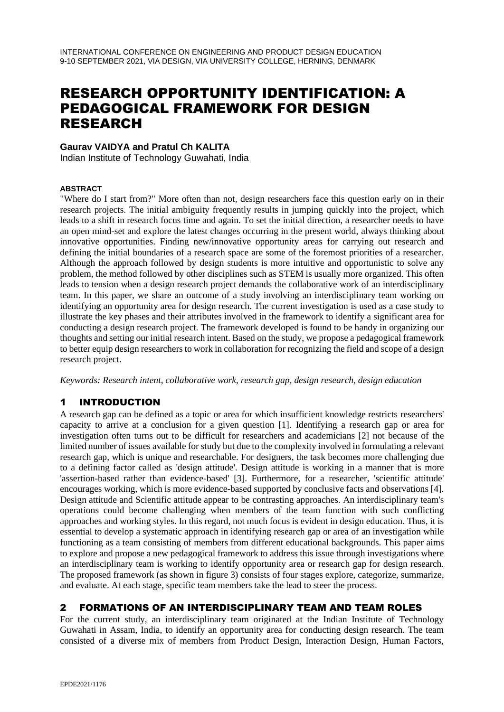# RESEARCH OPPORTUNITY IDENTIFICATION: A PEDAGOGICAL FRAMEWORK FOR DESIGN RESEARCH

#### **Gaurav VAIDYA and Pratul Ch KALITA**

Indian Institute of Technology Guwahati, India

#### **ABSTRACT**

"Where do I start from?" More often than not, design researchers face this question early on in their research projects. The initial ambiguity frequently results in jumping quickly into the project, which leads to a shift in research focus time and again. To set the initial direction, a researcher needs to have an open mind-set and explore the latest changes occurring in the present world, always thinking about innovative opportunities. Finding new/innovative opportunity areas for carrying out research and defining the initial boundaries of a research space are some of the foremost priorities of a researcher. Although the approach followed by design students is more intuitive and opportunistic to solve any problem, the method followed by other disciplines such as STEM is usually more organized. This often leads to tension when a design research project demands the collaborative work of an interdisciplinary team. In this paper, we share an outcome of a study involving an interdisciplinary team working on identifying an opportunity area for design research. The current investigation is used as a case study to illustrate the key phases and their attributes involved in the framework to identify a significant area for conducting a design research project. The framework developed is found to be handy in organizing our thoughts and setting our initial research intent. Based on the study, we propose a pedagogical framework to better equip design researchers to work in collaboration for recognizing the field and scope of a design research project.

*Keywords: Research intent, collaborative work, research gap, design research, design education*

## 1 INTRODUCTION

A research gap can be defined as a topic or area for which insufficient knowledge restricts researchers' capacity to arrive at a conclusion for a given question [1]. Identifying a research gap or area for investigation often turns out to be difficult for researchers and academicians [2] not because of the limited number of issues available for study but due to the complexity involved in formulating a relevant research gap, which is unique and researchable. For designers, the task becomes more challenging due to a defining factor called as 'design attitude'. Design attitude is working in a manner that is more 'assertion-based rather than evidence-based' [3]. Furthermore, for a researcher, 'scientific attitude' encourages working, which is more evidence-based supported by conclusive facts and observations [4]. Design attitude and Scientific attitude appear to be contrasting approaches. An interdisciplinary team's operations could become challenging when members of the team function with such conflicting approaches and working styles. In this regard, not much focus is evident in design education. Thus, it is essential to develop a systematic approach in identifying research gap or area of an investigation while functioning as a team consisting of members from different educational backgrounds. This paper aims to explore and propose a new pedagogical framework to address this issue through investigations where an interdisciplinary team is working to identify opportunity area or research gap for design research. The proposed framework (as shown in figure 3) consists of four stages explore, categorize, summarize, and evaluate. At each stage, specific team members take the lead to steer the process.

#### 2 FORMATIONS OF AN INTERDISCIPLINARY TEAM AND TEAM ROLES

For the current study, an interdisciplinary team originated at the Indian Institute of Technology Guwahati in Assam, India, to identify an opportunity area for conducting design research. The team consisted of a diverse mix of members from Product Design, Interaction Design, Human Factors,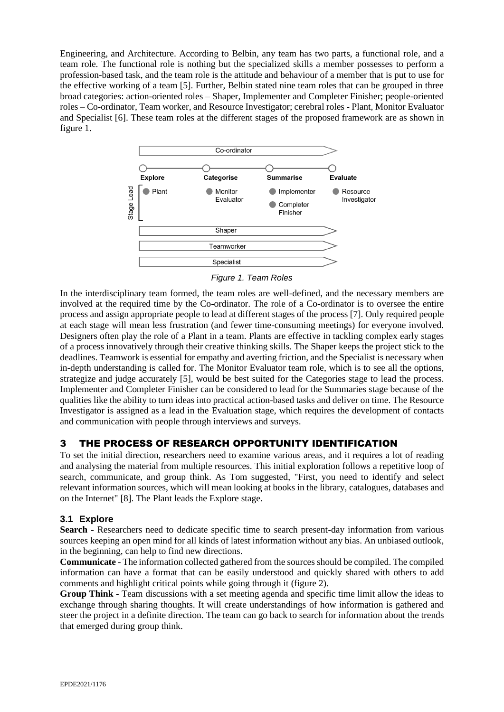Engineering, and Architecture. According to Belbin, any team has two parts, a functional role, and a team role. The functional role is nothing but the specialized skills a member possesses to perform a profession-based task, and the team role is the attitude and behaviour of a member that is put to use for the effective working of a team [5]. Further, Belbin stated nine team roles that can be grouped in three broad categories: action-oriented roles – Shaper, Implementer and Completer Finisher; people-oriented roles – Co-ordinator, Team worker, and Resource Investigator; cerebral roles - Plant, Monitor Evaluator and Specialist [6]. These team roles at the different stages of the proposed framework are as shown in figure 1.



*Figure 1. Team Roles*

In the interdisciplinary team formed, the team roles are well-defined, and the necessary members are involved at the required time by the Co-ordinator. The role of a Co-ordinator is to oversee the entire process and assign appropriate people to lead at different stages of the process [7]. Only required people at each stage will mean less frustration (and fewer time-consuming meetings) for everyone involved. Designers often play the role of a Plant in a team. Plants are effective in tackling complex early stages of a process innovatively through their creative thinking skills. The Shaper keeps the project stick to the deadlines. Teamwork is essential for empathy and averting friction, and the Specialist is necessary when in-depth understanding is called for. The Monitor Evaluator team role, which is to see all the options, strategize and judge accurately [5], would be best suited for the Categories stage to lead the process. Implementer and Completer Finisher can be considered to lead for the Summaries stage because of the qualities like the ability to turn ideas into practical action-based tasks and deliver on time. The Resource Investigator is assigned as a lead in the Evaluation stage, which requires the development of contacts and communication with people through interviews and surveys.

## 3 THE PROCESS OF RESEARCH OPPORTUNITY IDENTIFICATION

To set the initial direction, researchers need to examine various areas, and it requires a lot of reading and analysing the material from multiple resources. This initial exploration follows a repetitive loop of search, communicate, and group think. As Tom suggested, "First, you need to identify and select relevant information sources, which will mean looking at books in the library, catalogues, databases and on the Internet" [8]. The Plant leads the Explore stage.

## **3.1 Explore**

**Search** - Researchers need to dedicate specific time to search present-day information from various sources keeping an open mind for all kinds of latest information without any bias. An unbiased outlook, in the beginning, can help to find new directions.

**Communicate** - The information collected gathered from the sources should be compiled. The compiled information can have a format that can be easily understood and quickly shared with others to add comments and highlight critical points while going through it (figure 2).

**Group Think** - Team discussions with a set meeting agenda and specific time limit allow the ideas to exchange through sharing thoughts. It will create understandings of how information is gathered and steer the project in a definite direction. The team can go back to search for information about the trends that emerged during group think.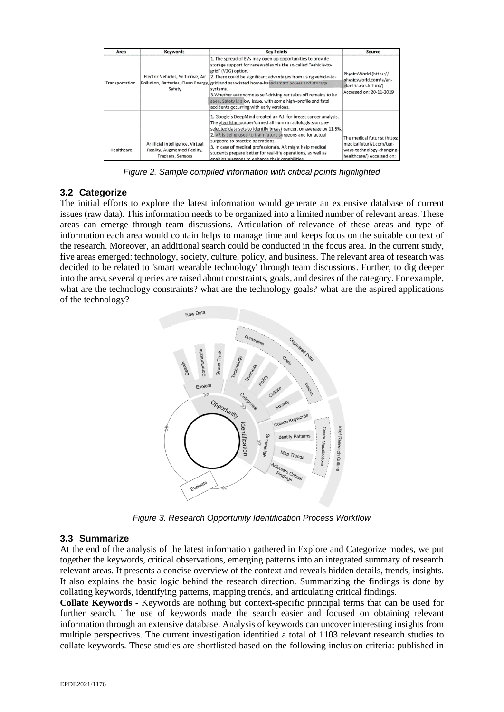| Area           | <b>Keywords</b>                                                                      | <b>Key Points</b>                                                                                                                                                                                                                                                                                                                                                                                                                                                                                             | Source                                                                                                              |
|----------------|--------------------------------------------------------------------------------------|---------------------------------------------------------------------------------------------------------------------------------------------------------------------------------------------------------------------------------------------------------------------------------------------------------------------------------------------------------------------------------------------------------------------------------------------------------------------------------------------------------------|---------------------------------------------------------------------------------------------------------------------|
| Transportation | Electric Vehicles, Self-drive, Air<br>Safety                                         | 1. The spread of EVs may open up opportunities to provide<br>storage support for renewables via the so-called "vehicle-to-<br>grid" (V2G) option.<br>2. There could be significant advantages from using vehicle-to-<br>Pollution, Batteries, Clean Energy, grid and associated home-based smart power and storage<br>systems.<br>3. Whether autonomous self-driving car takes off remains to be<br>seen. Safety is a key issue, with some high-profile and fatal<br>accidents occurring with early versions. | PhysicsWorld (https://<br>physicsworld.com/a/an-<br>electric-car-future/)<br>Accessed on: 20-11-2019                |
| Healthcare     | Artificial intelligence, Virtual<br>Reality, Augmented Reality,<br>Trackers, Sensors | 1. Google's DeepMind created an A.I. for breast cancer analysis.<br>The algorithm outperformed all human radiologists on pre-<br>selected data sets to identify breast cancer, on average by 11.5%.<br>2. VR is being used to train future surgeons and for actual<br>surgeons to practice operations.<br>3. In case of medical professionals, AR might help medical<br>students prepare better for real-life operations, as well as<br>enables surgeons to enhance their capabilities.                       | The medical futurist (https:/<br>medicalfuturist.com/ten-<br>ways-technology-changing-<br>healthcare/) Accessed on: |

*Figure 2. Sample compiled information with critical points highlighted*

#### **3.2 Categorize**

The initial efforts to explore the latest information would generate an extensive database of current issues (raw data). This information needs to be organized into a limited number of relevant areas. These areas can emerge through team discussions. Articulation of relevance of these areas and type of information each area would contain helps to manage time and keeps focus on the suitable context of the research. Moreover, an additional search could be conducted in the focus area. In the current study, five areas emerged: technology, society, culture, policy, and business. The relevant area of research was decided to be related to 'smart wearable technology' through team discussions. Further, to dig deeper into the area, several queries are raised about constraints, goals, and desires of the category. For example, what are the technology constraints? what are the technology goals? what are the aspired applications of the technology?



*Figure 3. Research Opportunity Identification Process Workflow*

## **3.3 Summarize**

At the end of the analysis of the latest information gathered in Explore and Categorize modes, we put together the keywords, critical observations, emerging patterns into an integrated summary of research relevant areas. It presents a concise overview of the context and reveals hidden details, trends, insights. It also explains the basic logic behind the research direction. Summarizing the findings is done by collating keywords, identifying patterns, mapping trends, and articulating critical findings.

**Collate Keywords -** Keywords are nothing but context-specific principal terms that can be used for further search. The use of keywords made the search easier and focused on obtaining relevant information through an extensive database. Analysis of keywords can uncover interesting insights from multiple perspectives. The current investigation identified a total of 1103 relevant research studies to collate keywords. These studies are shortlisted based on the following inclusion criteria: published in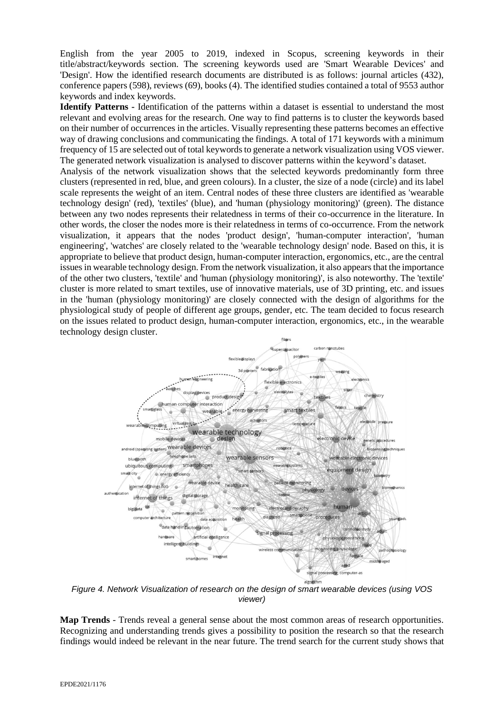English from the year 2005 to 2019, indexed in Scopus, screening keywords in their title/abstract/keywords section. The screening keywords used are 'Smart Wearable Devices' and 'Design'. How the identified research documents are distributed is as follows: journal articles (432), conference papers (598), reviews (69), books (4). The identified studies contained a total of 9553 author keywords and index keywords.

**Identify Patterns -** Identification of the patterns within a dataset is essential to understand the most relevant and evolving areas for the research. One way to find patterns is to cluster the keywords based on their number of occurrences in the articles. Visually representing these patterns becomes an effective way of drawing conclusions and communicating the findings. A total of 171 keywords with a minimum frequency of 15 are selected out of total keywords to generate a network visualization using VOS viewer. The generated network visualization is analysed to discover patterns within the keyword's dataset.

Analysis of the network visualization shows that the selected keywords predominantly form three clusters (represented in red, blue, and green colours). In a cluster, the size of a node (circle) and its label scale represents the weight of an item. Central nodes of these three clusters are identified as 'wearable technology design' (red), 'textiles' (blue), and 'human (physiology monitoring)' (green). The distance between any two nodes represents their relatedness in terms of their co-occurrence in the literature. In other words, the closer the nodes more is their relatedness in terms of co-occurrence. From the network visualization, it appears that the nodes 'product design', 'human-computer interaction', 'human engineering', 'watches' are closely related to the 'wearable technology design' node. Based on this, it is appropriate to believe that product design, human-computer interaction, ergonomics, etc., are the central issues in wearable technology design. From the network visualization, it also appears that the importance of the other two clusters, 'textile' and 'human (physiology monitoring)', is also noteworthy. The 'textile' cluster is more related to smart textiles, use of innovative materials, use of 3D printing, etc. and issues in the 'human (physiology monitoring)' are closely connected with the design of algorithms for the physiological study of people of different age groups, gender, etc. The team decided to focus research on the issues related to product design, human-computer interaction, ergonomics, etc., in the wearable technology design cluster.



*Figure 4. Network Visualization of research on the design of smart wearable devices (using VOS viewer)*

**Map Trends** - Trends reveal a general sense about the most common areas of research opportunities. Recognizing and understanding trends gives a possibility to position the research so that the research findings would indeed be relevant in the near future. The trend search for the current study shows that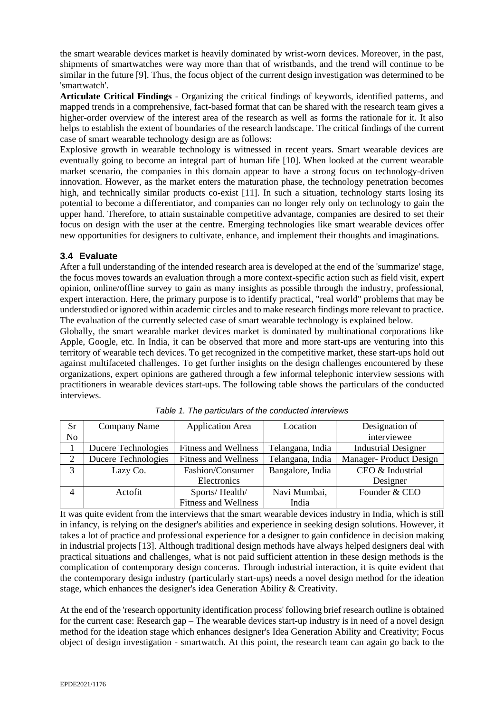the smart wearable devices market is heavily dominated by wrist-worn devices. Moreover, in the past, shipments of smartwatches were way more than that of wristbands, and the trend will continue to be similar in the future [9]. Thus, the focus object of the current design investigation was determined to be 'smartwatch'.

**Articulate Critical Findings** - Organizing the critical findings of keywords, identified patterns, and mapped trends in a comprehensive, fact-based format that can be shared with the research team gives a higher-order overview of the interest area of the research as well as forms the rationale for it. It also helps to establish the extent of boundaries of the research landscape. The critical findings of the current case of smart wearable technology design are as follows:

Explosive growth in wearable technology is witnessed in recent years. Smart wearable devices are eventually going to become an integral part of human life [10]. When looked at the current wearable market scenario, the companies in this domain appear to have a strong focus on technology-driven innovation. However, as the market enters the maturation phase, the technology penetration becomes high, and technically similar products co-exist [11]. In such a situation, technology starts losing its potential to become a differentiator, and companies can no longer rely only on technology to gain the upper hand. Therefore, to attain sustainable competitive advantage, companies are desired to set their focus on design with the user at the centre. Emerging technologies like smart wearable devices offer new opportunities for designers to cultivate, enhance, and implement their thoughts and imaginations.

#### **3.4 Evaluate**

After a full understanding of the intended research area is developed at the end of the 'summarize' stage, the focus moves towards an evaluation through a more context-specific action such as field visit, expert opinion, online/offline survey to gain as many insights as possible through the industry, professional, expert interaction. Here, the primary purpose is to identify practical, "real world" problems that may be understudied or ignored within academic circles and to make research findings more relevant to practice. The evaluation of the currently selected case of smart wearable technology is explained below.

Globally, the smart wearable market devices market is dominated by multinational corporations like Apple, Google, etc. In India, it can be observed that more and more start-ups are venturing into this territory of wearable tech devices. To get recognized in the competitive market, these start-ups hold out against multifaceted challenges. To get further insights on the design challenges encountered by these organizations, expert opinions are gathered through a few informal telephonic interview sessions with practitioners in wearable devices start-ups. The following table shows the particulars of the conducted interviews.

| Sr             | Company Name        | <b>Application Area</b>     | Location         | Designation of             |
|----------------|---------------------|-----------------------------|------------------|----------------------------|
| N <sub>o</sub> |                     |                             |                  | interviewee                |
|                | Ducere Technologies | <b>Fitness and Wellness</b> | Telangana, India | <b>Industrial Designer</b> |
|                | Ducere Technologies | <b>Fitness and Wellness</b> | Telangana, India | Manager-Product Design     |
| 3              | Lazy Co.            | Fashion/Consumer            | Bangalore, India | CEO & Industrial           |
|                |                     | Electronics                 |                  | Designer                   |
| $\overline{4}$ | Actorit             | Sports/Health/              | Navi Mumbai,     | Founder & CEO              |
|                |                     | <b>Fitness and Wellness</b> | India            |                            |

*Table 1. The particulars of the conducted interviews*

It was quite evident from the interviews that the smart wearable devices industry in India, which is still in infancy, is relying on the designer's abilities and experience in seeking design solutions. However, it takes a lot of practice and professional experience for a designer to gain confidence in decision making in industrial projects [13]. Although traditional design methods have always helped designers deal with practical situations and challenges, what is not paid sufficient attention in these design methods is the complication of contemporary design concerns. Through industrial interaction, it is quite evident that the contemporary design industry (particularly start-ups) needs a novel design method for the ideation stage, which enhances the designer's idea Generation Ability & Creativity.

At the end of the 'research opportunity identification process' following brief research outline is obtained for the current case: Research gap – The wearable devices start-up industry is in need of a novel design method for the ideation stage which enhances designer's Idea Generation Ability and Creativity; Focus object of design investigation - smartwatch. At this point, the research team can again go back to the